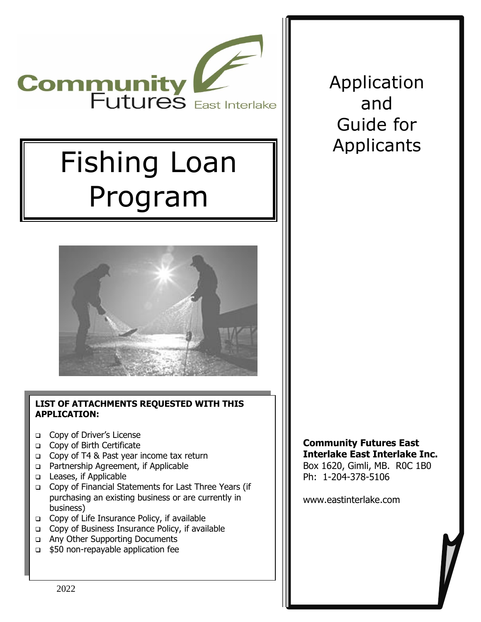

# Fishing Loan Program



#### **LIST OF ATTACHMENTS REQUESTED WITH THIS APPLICATION:**

- ❑ Copy of Driver's License
- ❑ Copy of Birth Certificate
- ❑ Copy of T4 & Past year income tax return
- ❑ Partnership Agreement, if Applicable
- ❑ Leases, if Applicable
- ❑ Copy of Financial Statements for Last Three Years (if purchasing an existing business or are currently in business)
- ❑ Copy of Life Insurance Policy, if available
- ❑ Copy of Business Insurance Policy, if available
- ❑ Any Other Supporting Documents
- ❑ \$50 non-repayable application fee

Application and Guide for Applicants

**Community Futures East Interlake East Interlake Inc.** Box 1620, Gimli, MB. R0C 1B0 Ph: 1-204-378-5106

www.eastinterlake.com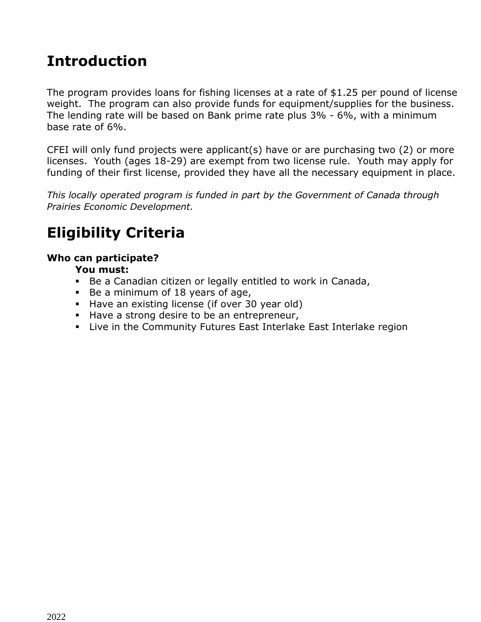# **Introduction**

The program provides loans for fishing licenses at a rate of \$1.25 per pound of license weight. The program can also provide funds for equipment/supplies for the business. The lending rate will be based on Bank prime rate plus 3% - 6%, with a minimum base rate of 6%.

CFEI will only fund projects were applicant(s) have or are purchasing two (2) or more licenses. Youth (ages 18-29) are exempt from two license rule. Youth may apply for funding of their first license, provided they have all the necessary equipment in place.

*This locally operated program is funded in part by the Government of Canada through Prairies Economic Development.*

# **Eligibility Criteria**

#### **Who can participate?**

#### **You must:**

- Be a Canadian citizen or legally entitled to work in Canada,
- Be a minimum of 18 years of age,
- Have an existing license (if over 30 year old)
- Have a strong desire to be an entrepreneur,
- **EXECT Live in the Community Futures East Interlake East Interlake region**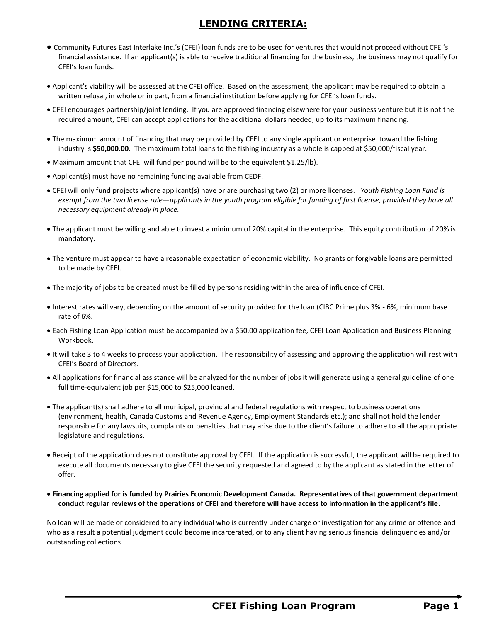#### **LENDING CRITERIA:**

- Community Futures East Interlake Inc.'s (CFEI) loan funds are to be used for ventures that would not proceed without CFEI's financial assistance. If an applicant(s) is able to receive traditional financing for the business, the business may not qualify for CFEI's loan funds.
- Applicant's viability will be assessed at the CFEI office. Based on the assessment, the applicant may be required to obtain a written refusal, in whole or in part, from a financial institution before applying for CFEI's loan funds.
- CFEI encourages partnership/joint lending. If you are approved financing elsewhere for your business venture but it is not the required amount, CFEI can accept applications for the additional dollars needed, up to its maximum financing.
- The maximum amount of financing that may be provided by CFEI to any single applicant or enterprise toward the fishing industry is **\$50,000.00**. The maximum total loans to the fishing industry as a whole is capped at \$50,000/fiscal year.
- Maximum amount that CFEI will fund per pound will be to the equivalent \$1.25/lb).
- Applicant(s) must have no remaining funding available from CEDF.
- CFEI will only fund projects where applicant(s) have or are purchasing two (2) or more licenses. *Youth Fishing Loan Fund is exempt from the two license rule—applicants in the youth program eligible for funding of first license, provided they have all necessary equipment already in place.*
- The applicant must be willing and able to invest a minimum of 20% capital in the enterprise. This equity contribution of 20% is mandatory.
- The venture must appear to have a reasonable expectation of economic viability. No grants or forgivable loans are permitted to be made by CFEI.
- The majority of jobs to be created must be filled by persons residing within the area of influence of CFEI.
- Interest rates will vary, depending on the amount of security provided for the loan (CIBC Prime plus 3% 6%, minimum base rate of 6%.
- Each Fishing Loan Application must be accompanied by a \$50.00 application fee, CFEI Loan Application and Business Planning Workbook.
- It will take 3 to 4 weeks to process your application. The responsibility of assessing and approving the application will rest with CFEI's Board of Directors.
- All applications for financial assistance will be analyzed for the number of jobs it will generate using a general guideline of one full time-equivalent job per \$15,000 to \$25,000 loaned.
- The applicant(s) shall adhere to all municipal, provincial and federal regulations with respect to business operations (environment, health, Canada Customs and Revenue Agency, Employment Standards etc.); and shall not hold the lender responsible for any lawsuits, complaints or penalties that may arise due to the client's failure to adhere to all the appropriate legislature and regulations.
- Receipt of the application does not constitute approval by CFEI. If the application is successful, the applicant will be required to execute all documents necessary to give CFEI the security requested and agreed to by the applicant as stated in the letter of offer.
- **Financing applied for is funded by Prairies Economic Development Canada. Representatives of that government department conduct regular reviews of the operations of CFEI and therefore will have access to information in the applicant's file.**

No loan will be made or considered to any individual who is currently under charge or investigation for any crime or offence and who as a result a potential judgment could become incarcerated, or to any client having serious financial delinquencies and/or outstanding collections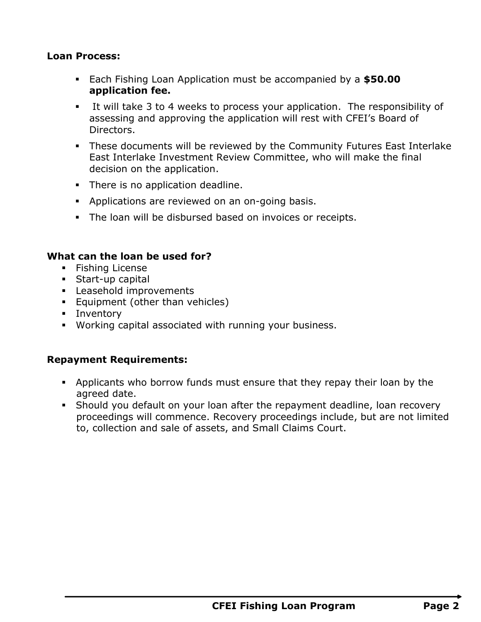#### **Loan Process:**

- Each Fishing Loan Application must be accompanied by a **\$50.00 application fee.**
- It will take 3 to 4 weeks to process your application. The responsibility of assessing and approving the application will rest with CFEI's Board of Directors.
- These documents will be reviewed by the Community Futures East Interlake East Interlake Investment Review Committee, who will make the final decision on the application.
- **•** There is no application deadline.
- **EXED** Applications are reviewed on an on-going basis.
- **The loan will be disbursed based on invoices or receipts.**

#### **What can the loan be used for?**

- **•** Fishing License
- Start-up capital
- **E** Leasehold improvements
- **Equipment (other than vehicles)**
- **·** Inventory
- Working capital associated with running your business.

#### **Repayment Requirements:**

- **•** Applicants who borrow funds must ensure that they repay their loan by the agreed date.
- **•** Should you default on your loan after the repayment deadline, loan recovery proceedings will commence. Recovery proceedings include, but are not limited to, collection and sale of assets, and Small Claims Court.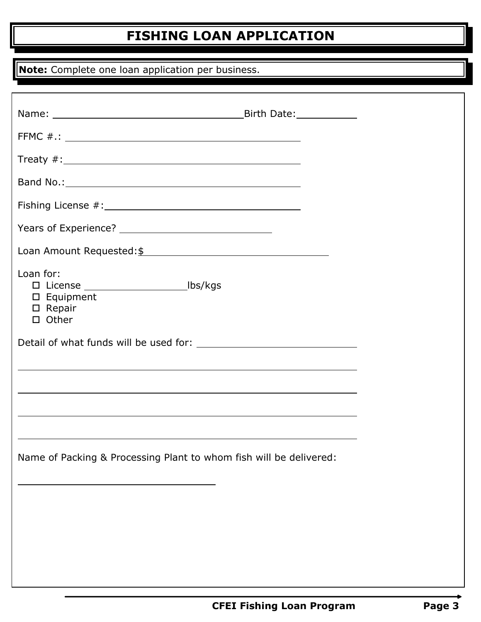# **FISHING LOAN APPLICATION**

**Note:** Complete one loan application per business.

| Band No.: 1999 - Band No.: 2009 - Band No.: 2009 - Band No.: 2009 - Band No.: 2009 - Band No.: 2009 - Band No.          |  |
|-------------------------------------------------------------------------------------------------------------------------|--|
|                                                                                                                         |  |
|                                                                                                                         |  |
| Loan Amount Requested: \$                                                                                               |  |
| Loan for:<br>□ License ___________________________lbs/kgs<br>$\square$ Equipment<br>$\square$ Repair<br>$\square$ Other |  |
|                                                                                                                         |  |
| ,我们也不会有什么。""我们的人,我们也不会有什么?""我们的人,我们也不会有什么?""我们的人,我们也不会有什么?""我们的人,我们也不会有什么?""我们的人                                        |  |
| ,我们也不会有什么。""我们的人,我们也不会有什么?""我们的人,我们也不会有什么?""我们的人,我们也不会有什么?""我们的人,我们也不会有什么?""我们的人                                        |  |
|                                                                                                                         |  |
|                                                                                                                         |  |
| Name of Packing & Processing Plant to whom fish will be delivered:                                                      |  |
|                                                                                                                         |  |
|                                                                                                                         |  |
|                                                                                                                         |  |
|                                                                                                                         |  |
|                                                                                                                         |  |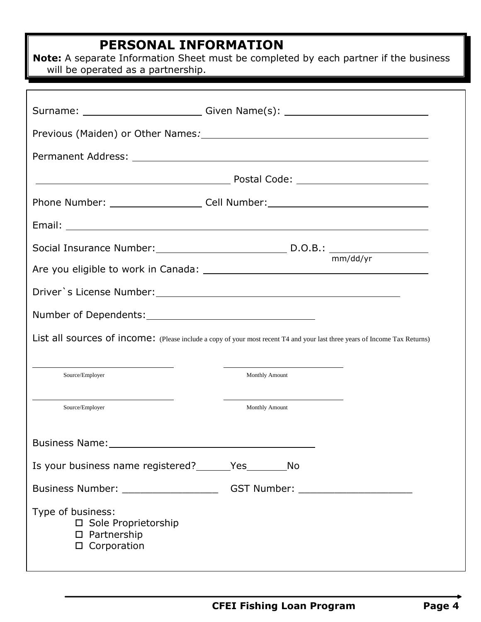## **PERSONAL INFORMATION**

**Note:** A separate Information Sheet must be completed by each partner if the business will be operated as a partnership.

|                                                             | Surname: ____________________________Given Name(s): ____________________________                                           |
|-------------------------------------------------------------|----------------------------------------------------------------------------------------------------------------------------|
|                                                             |                                                                                                                            |
|                                                             |                                                                                                                            |
|                                                             |                                                                                                                            |
|                                                             | Phone Number: _________________________Cell Number: ____________________________                                           |
|                                                             |                                                                                                                            |
|                                                             |                                                                                                                            |
|                                                             | mm/dd/yr                                                                                                                   |
|                                                             |                                                                                                                            |
|                                                             |                                                                                                                            |
|                                                             |                                                                                                                            |
|                                                             | List all sources of income: (Please include a copy of your most recent T4 and your last three years of Income Tax Returns) |
| Source/Employer                                             | <b>Monthly Amount</b>                                                                                                      |
| Source/Employer                                             | <b>Monthly Amount</b>                                                                                                      |
| <b>Business Name:</b>                                       |                                                                                                                            |
| Is your business name registered? ________Yes____________No |                                                                                                                            |
|                                                             | Business Number: ____________________________GST Number: _______________________                                           |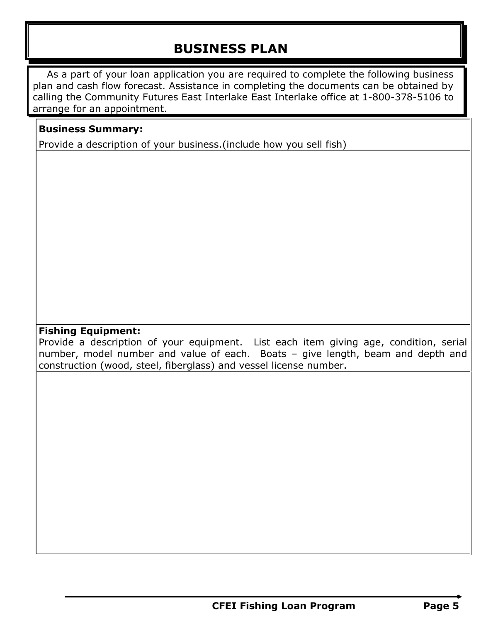# **BUSINESS PLAN**

As a part of your loan application you are required to complete the following business plan and cash flow forecast. Assistance in completing the documents can be obtained by calling the Community Futures East Interlake East Interlake office at 1-800-378-5106 to arrange for an appointment.

#### **Business Summary:**

Provide a description of your business.(include how you sell fish)

#### **Fishing Equipment:**

Provide a description of your equipment. List each item giving age, condition, serial number, model number and value of each. Boats – give length, beam and depth and construction (wood, steel, fiberglass) and vessel license number.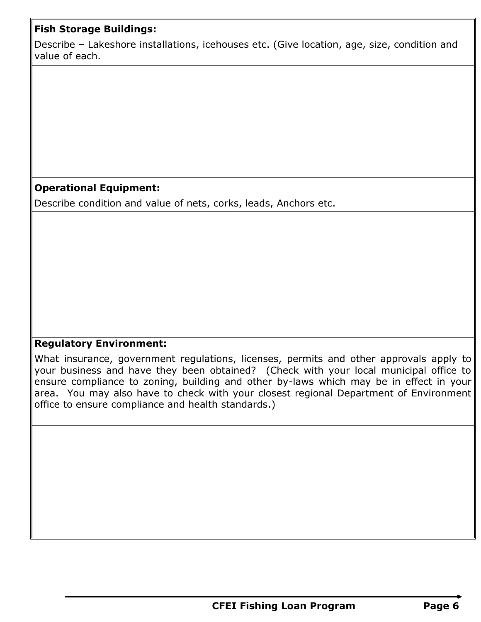## **Fish Storage Buildings:**

Describe – Lakeshore installations, icehouses etc. (Give location, age, size, condition and value of each.

## **Operational Equipment:**

Describe condition and value of nets, corks, leads, Anchors etc.

#### **Regulatory Environment:**

What insurance, government regulations, licenses, permits and other approvals apply to your business and have they been obtained? (Check with your local municipal office to ensure compliance to zoning, building and other by-laws which may be in effect in your area. You may also have to check with your closest regional Department of Environment office to ensure compliance and health standards.)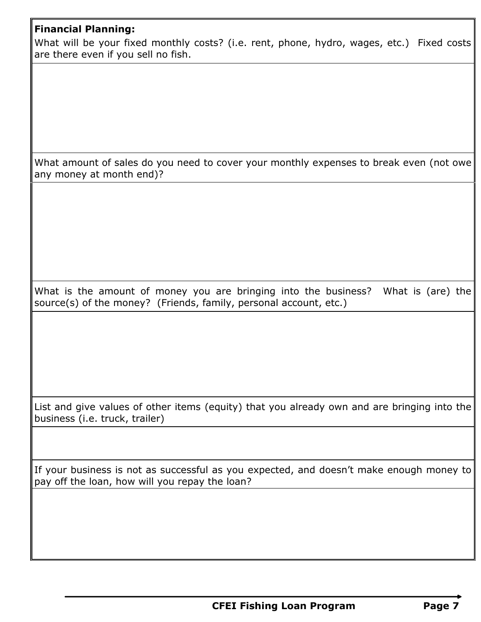## **Financial Planning:**

What will be your fixed monthly costs? (i.e. rent, phone, hydro, wages, etc.) Fixed costs are there even if you sell no fish.

What amount of sales do you need to cover your monthly expenses to break even (not owe any money at month end)?

What is the amount of money you are bringing into the business? What is (are) the source(s) of the money? (Friends, family, personal account, etc.)

List and give values of other items (equity) that you already own and are bringing into the business (i.e. truck, trailer)

If your business is not as successful as you expected, and doesn't make enough money to pay off the loan, how will you repay the loan?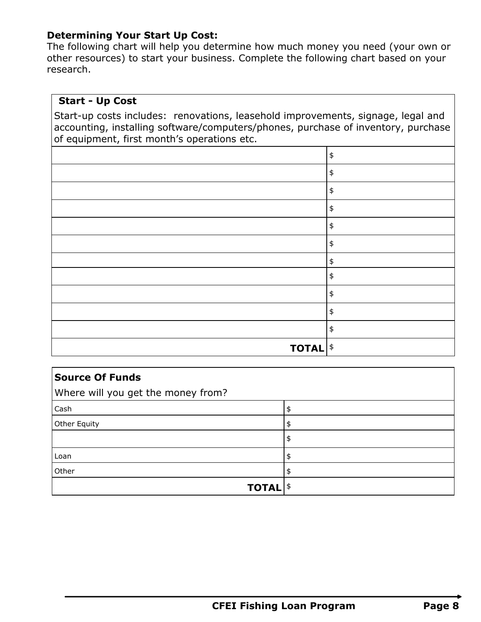#### **Determining Your Start Up Cost:**

The following chart will help you determine how much money you need (your own or other resources) to start your business. Complete the following chart based on your research.

## **Start - Up Cost**

Start-up costs includes: renovations, leasehold improvements, signage, legal and accounting, installing software/computers/phones, purchase of inventory, purchase of equipment, first month's operations etc.

|                            | \$                              |
|----------------------------|---------------------------------|
|                            | $\pmb{\ddagger}$                |
|                            | \$                              |
|                            | $\pmb{\mathfrak{\mathfrak{p}}}$ |
|                            | $\pmb{\mathfrak{\mathfrak{p}}}$ |
|                            | $\pmb{\mathfrak{\mathfrak{p}}}$ |
|                            | $\pmb{\ddagger}$                |
|                            | $\pmb{\ddagger}$                |
|                            | $\pmb{\ddagger}$                |
|                            | \$                              |
|                            | \$                              |
| <b>TOTAL</b> <sup>\$</sup> |                                 |

| <b>Source Of Funds</b>             |    |
|------------------------------------|----|
| Where will you get the money from? |    |
| Cash                               | \$ |
| Other Equity                       | \$ |
|                                    | \$ |
| Loan                               | \$ |
| Other                              | \$ |
| <b>TOTAL</b>                       |    |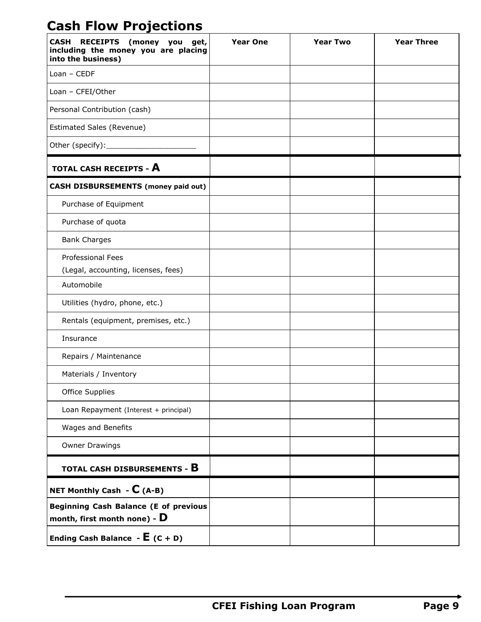# **Cash Flow Projections**

| <b>CASH</b><br>RECEIPTS (money you get,<br>including the money you are placing<br>into the business) | <b>Year One</b> | <b>Year Two</b> | <b>Year Three</b> |
|------------------------------------------------------------------------------------------------------|-----------------|-----------------|-------------------|
| $Lean - CEDF$                                                                                        |                 |                 |                   |
| Loan - CFEI/Other                                                                                    |                 |                 |                   |
| Personal Contribution (cash)                                                                         |                 |                 |                   |
| Estimated Sales (Revenue)                                                                            |                 |                 |                   |
| Other (specify):                                                                                     |                 |                 |                   |
| TOTAL CASH RECEIPTS - A                                                                              |                 |                 |                   |
| <b>CASH DISBURSEMENTS (money paid out)</b>                                                           |                 |                 |                   |
| Purchase of Equipment                                                                                |                 |                 |                   |
| Purchase of quota                                                                                    |                 |                 |                   |
| <b>Bank Charges</b>                                                                                  |                 |                 |                   |
| Professional Fees<br>(Legal, accounting, licenses, fees)                                             |                 |                 |                   |
| Automobile                                                                                           |                 |                 |                   |
| Utilities (hydro, phone, etc.)                                                                       |                 |                 |                   |
| Rentals (equipment, premises, etc.)                                                                  |                 |                 |                   |
| Insurance                                                                                            |                 |                 |                   |
| Repairs / Maintenance                                                                                |                 |                 |                   |
| Materials / Inventory                                                                                |                 |                 |                   |
| Office Supplies                                                                                      |                 |                 |                   |
| Loan Repayment (Interest + principal)                                                                |                 |                 |                   |
| Wages and Benefits                                                                                   |                 |                 |                   |
| <b>Owner Drawings</b>                                                                                |                 |                 |                   |
| TOTAL CASH DISBURSEMENTS - B                                                                         |                 |                 |                   |
| NET Monthly Cash - $C$ (A-B)                                                                         |                 |                 |                   |
| <b>Beginning Cash Balance (E of previous</b><br>month, first month none) - $\bf{D}$                  |                 |                 |                   |
| Ending Cash Balance - $E$ (C + D)                                                                    |                 |                 |                   |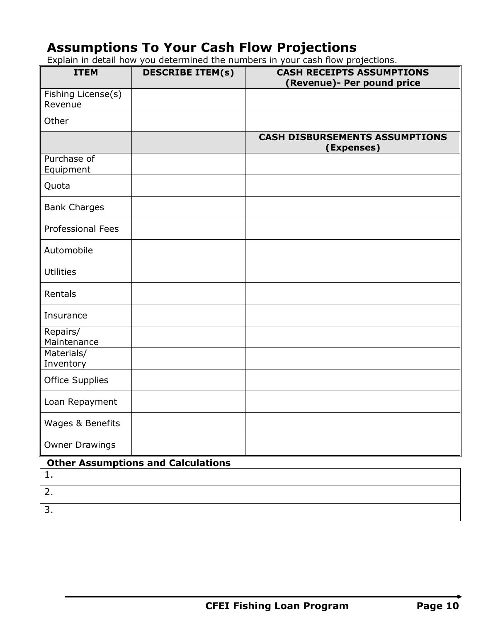## **Assumptions To Your Cash Flow Projections**

Explain in detail how you determined the numbers in your cash flow projections.

| <b>ITEM</b>                   | <b>DESCRIBE ITEM(s)</b>                   | <b>CASH RECEIPTS ASSUMPTIONS</b><br>(Revenue)- Per pound price |
|-------------------------------|-------------------------------------------|----------------------------------------------------------------|
| Fishing License(s)<br>Revenue |                                           |                                                                |
| Other                         |                                           |                                                                |
|                               |                                           | <b>CASH DISBURSEMENTS ASSUMPTIONS</b><br>(Expenses)            |
| Purchase of<br>Equipment      |                                           |                                                                |
| Quota                         |                                           |                                                                |
| <b>Bank Charges</b>           |                                           |                                                                |
| <b>Professional Fees</b>      |                                           |                                                                |
| Automobile                    |                                           |                                                                |
| <b>Utilities</b>              |                                           |                                                                |
| Rentals                       |                                           |                                                                |
| Insurance                     |                                           |                                                                |
| Repairs/<br>Maintenance       |                                           |                                                                |
| Materials/<br>Inventory       |                                           |                                                                |
| <b>Office Supplies</b>        |                                           |                                                                |
| Loan Repayment                |                                           |                                                                |
| Wages & Benefits              |                                           |                                                                |
| <b>Owner Drawings</b>         |                                           |                                                                |
|                               | <b>Other Assumptions and Calculations</b> |                                                                |

| . |  |
|---|--|
|   |  |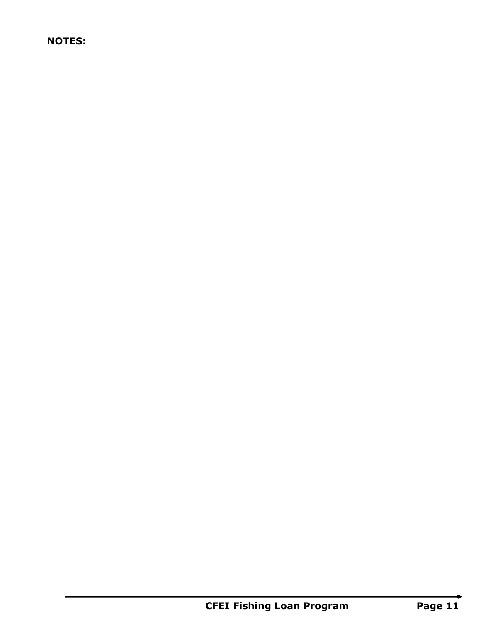## **NOTES:**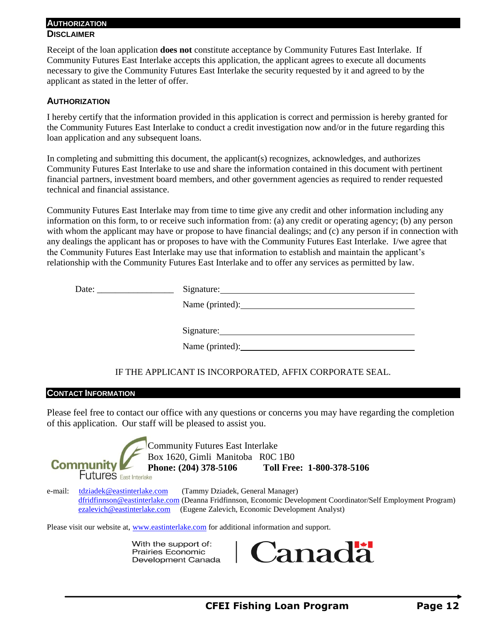#### **AUTHORIZATION**

#### **DISCLAIMER**

Receipt of the loan application **does not** constitute acceptance by Community Futures East Interlake. If Community Futures East Interlake accepts this application, the applicant agrees to execute all documents necessary to give the Community Futures East Interlake the security requested by it and agreed to by the applicant as stated in the letter of offer.

#### **AUTHORIZATION**

I hereby certify that the information provided in this application is correct and permission is hereby granted for the Community Futures East Interlake to conduct a credit investigation now and/or in the future regarding this loan application and any subsequent loans.

In completing and submitting this document, the applicant(s) recognizes, acknowledges, and authorizes Community Futures East Interlake to use and share the information contained in this document with pertinent financial partners, investment board members, and other government agencies as required to render requested technical and financial assistance.

Community Futures East Interlake may from time to time give any credit and other information including any information on this form, to or receive such information from: (a) any credit or operating agency; (b) any person with whom the applicant may have or propose to have financial dealings; and (c) any person if in connection with any dealings the applicant has or proposes to have with the Community Futures East Interlake. I/we agree that the Community Futures East Interlake may use that information to establish and maintain the applicant's relationship with the Community Futures East Interlake and to offer any services as permitted by law.

| Date: | Signature: Signature: |
|-------|-----------------------|
|       | Name (printed):       |
|       |                       |
|       |                       |
|       | Name (printed):       |
|       |                       |

#### IF THE APPLICANT IS INCORPORATED, AFFIX CORPORATE SEAL.

#### **CONTACT INFORMATION**

Please feel free to contact our office with any questions or concerns you may have regarding the completion of this application. Our staff will be pleased to assist you.

Community Futures East Interlake Box 1620, Gimli Manitoba R0C 1B0 **Community Phone: (204) 378-5106 Toll Free: 1-800-378-5106**<br>Futures East Interlake e-mail: [tdziadek@eastinterlake.com](mailto:tdziadek@eastinterlake.com) (Tammy Dziadek, General Manager) [dfridfinnson@eastinterlake.com](mailto:dfridfinnson@eastinterlake.com) (Deanna Fridfinnson, Economic Development Coordinator/Self Employment Program) [ezalevich@eastinterlake.com](mailto:ezalevich@eastinterlake.com) (Eugene Zalevich, Economic Development Analyst)

Please visit our website at, [www.eastinterlake.com](http://www.eastinterlake.com/) for additional information and support.

With the support of: **Prairies Economic** Development Canada

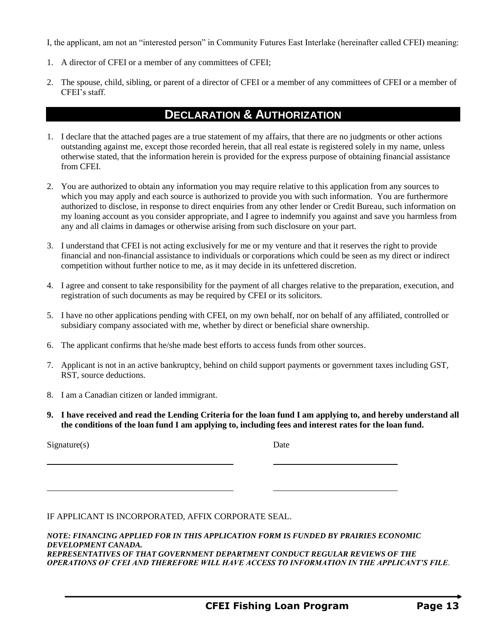I, the applicant, am not an "interested person" in Community Futures East Interlake (hereinafter called CFEI) meaning:

- 1. A director of CFEI or a member of any committees of CFEI;
- 2. The spouse, child, sibling, or parent of a director of CFEI or a member of any committees of CFEI or a member of CFEI's staff.

## **DECLARATION & AUTHORIZATION**

- 1. I declare that the attached pages are a true statement of my affairs, that there are no judgments or other actions outstanding against me, except those recorded herein, that all real estate is registered solely in my name, unless otherwise stated, that the information herein is provided for the express purpose of obtaining financial assistance from CFEI.
- 2. You are authorized to obtain any information you may require relative to this application from any sources to which you may apply and each source is authorized to provide you with such information. You are furthermore authorized to disclose, in response to direct enquiries from any other lender or Credit Bureau, such information on my loaning account as you consider appropriate, and I agree to indemnify you against and save you harmless from any and all claims in damages or otherwise arising from such disclosure on your part.
- 3. I understand that CFEI is not acting exclusively for me or my venture and that it reserves the right to provide financial and non-financial assistance to individuals or corporations which could be seen as my direct or indirect competition without further notice to me, as it may decide in its unfettered discretion.
- 4. I agree and consent to take responsibility for the payment of all charges relative to the preparation, execution, and registration of such documents as may be required by CFEI or its solicitors.
- 5. I have no other applications pending with CFEI, on my own behalf, nor on behalf of any affiliated, controlled or subsidiary company associated with me, whether by direct or beneficial share ownership.
- 6. The applicant confirms that he/she made best efforts to access funds from other sources.
- 7. Applicant is not in an active bankruptcy, behind on child support payments or government taxes including GST, RST, source deductions.
- 8. I am a Canadian citizen or landed immigrant.
- **9. I have received and read the Lending Criteria for the loan fund I am applying to, and hereby understand all the conditions of the loan fund I am applying to, including fees and interest rates for the loan fund.**

Signature(s) Date

IF APPLICANT IS INCORPORATED, AFFIX CORPORATE SEAL.

*NOTE: FINANCING APPLIED FOR IN THIS APPLICATION FORM IS FUNDED BY PRAIRIES ECONOMIC DEVELOPMENT CANADA. REPRESENTATIVES OF THAT GOVERNMENT DEPARTMENT CONDUCT REGULAR REVIEWS OF THE OPERATIONS OF CFEI AND THEREFORE WILL HAVE ACCESS TO INFORMATION IN THE APPLICANT'S FILE.*